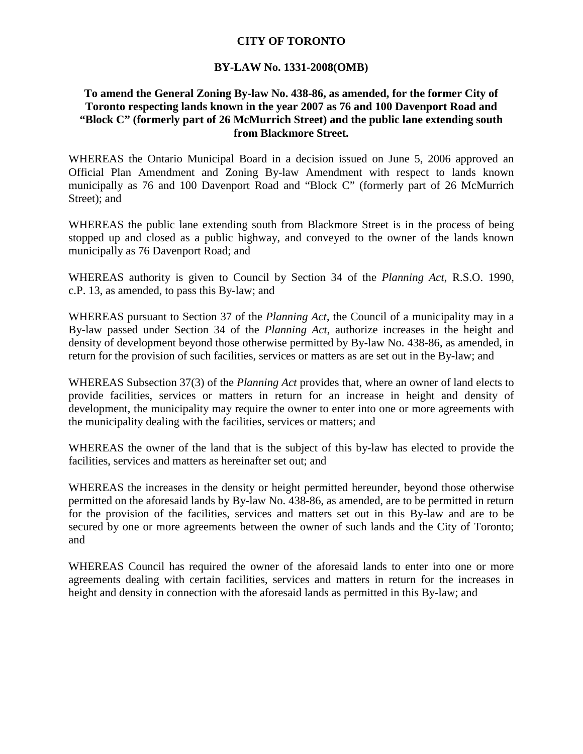## **CITY OF TORONTO**

## **BY-LAW No. 1331-2008(OMB)**

## **To amend the General Zoning By-law No. 438-86, as amended, for the former City of Toronto respecting lands known in the year 2007 as 76 and 100 Davenport Road and "Block C" (formerly part of 26 McMurrich Street) and the public lane extending south from Blackmore Street.**

WHEREAS the Ontario Municipal Board in a decision issued on June 5, 2006 approved an Official Plan Amendment and Zoning By-law Amendment with respect to lands known municipally as 76 and 100 Davenport Road and "Block C" (formerly part of 26 McMurrich Street); and

WHEREAS the public lane extending south from Blackmore Street is in the process of being stopped up and closed as a public highway, and conveyed to the owner of the lands known municipally as 76 Davenport Road; and

WHEREAS authority is given to Council by Section 34 of the *Planning Act*, R.S.O. 1990, c.P. 13, as amended, to pass this By-law; and

WHEREAS pursuant to Section 37 of the *Planning Act*, the Council of a municipality may in a By-law passed under Section 34 of the *Planning Act*, authorize increases in the height and density of development beyond those otherwise permitted by By-law No. 438-86, as amended, in return for the provision of such facilities, services or matters as are set out in the By-law; and

WHEREAS Subsection 37(3) of the *Planning Act* provides that, where an owner of land elects to provide facilities, services or matters in return for an increase in height and density of development, the municipality may require the owner to enter into one or more agreements with the municipality dealing with the facilities, services or matters; and

WHEREAS the owner of the land that is the subject of this by-law has elected to provide the facilities, services and matters as hereinafter set out; and

WHEREAS the increases in the density or height permitted hereunder, beyond those otherwise permitted on the aforesaid lands by By-law No. 438-86, as amended, are to be permitted in return for the provision of the facilities, services and matters set out in this By-law and are to be secured by one or more agreements between the owner of such lands and the City of Toronto; and

WHEREAS Council has required the owner of the aforesaid lands to enter into one or more agreements dealing with certain facilities, services and matters in return for the increases in height and density in connection with the aforesaid lands as permitted in this By-law; and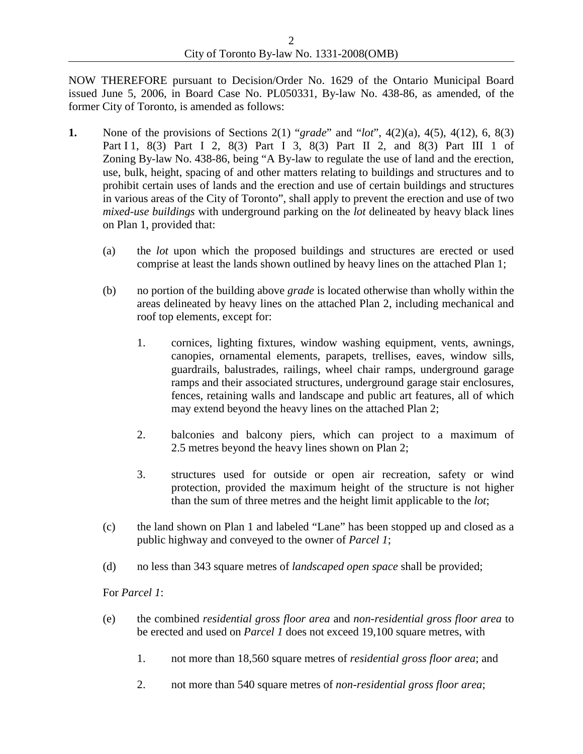NOW THEREFORE pursuant to Decision/Order No. 1629 of the Ontario Municipal Board issued June 5, 2006, in Board Case No. PL050331, By-law No. 438-86, as amended, of the former City of Toronto, is amended as follows:

- **1.** None of the provisions of Sections 2(1) "*grade*" and "*lot*", 4(2)(a), 4(5), 4(12), 6, 8(3) Part I 1, 8(3) Part I 2, 8(3) Part I 3, 8(3) Part II 2, and 8(3) Part III 1 of Zoning By-law No. 438-86, being "A By-law to regulate the use of land and the erection, use, bulk, height, spacing of and other matters relating to buildings and structures and to prohibit certain uses of lands and the erection and use of certain buildings and structures in various areas of the City of Toronto", shall apply to prevent the erection and use of two *mixed-use buildings* with underground parking on the *lot* delineated by heavy black lines on Plan 1, provided that:
	- (a) the *lot* upon which the proposed buildings and structures are erected or used comprise at least the lands shown outlined by heavy lines on the attached Plan 1;
	- (b) no portion of the building above *grade* is located otherwise than wholly within the areas delineated by heavy lines on the attached Plan 2, including mechanical and roof top elements, except for:
		- 1. cornices, lighting fixtures, window washing equipment, vents, awnings, canopies, ornamental elements, parapets, trellises, eaves, window sills, guardrails, balustrades, railings, wheel chair ramps, underground garage ramps and their associated structures, underground garage stair enclosures, fences, retaining walls and landscape and public art features, all of which may extend beyond the heavy lines on the attached Plan 2;
		- 2. balconies and balcony piers, which can project to a maximum of 2.5 metres beyond the heavy lines shown on Plan 2;
		- 3. structures used for outside or open air recreation, safety or wind protection, provided the maximum height of the structure is not higher than the sum of three metres and the height limit applicable to the *lot*;
	- (c) the land shown on Plan 1 and labeled "Lane" has been stopped up and closed as a public highway and conveyed to the owner of *Parcel 1*;
	- (d) no less than 343 square metres of *landscaped open space* shall be provided;

For *Parcel 1*:

- (e) the combined *residential gross floor area* and *non-residential gross floor area* to be erected and used on *Parcel 1* does not exceed 19,100 square metres, with
	- 1. not more than 18,560 square metres of *residential gross floor area*; and
	- 2. not more than 540 square metres of *non-residential gross floor area*;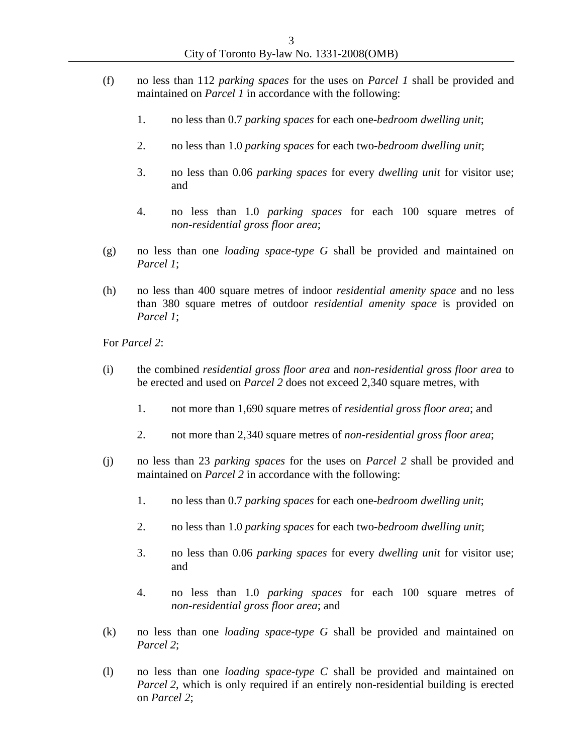- (f) no less than 112 *parking spaces* for the uses on *Parcel 1* shall be provided and maintained on *Parcel 1* in accordance with the following:
	- 1. no less than 0.7 *parking spaces* for each one-*bedroom dwelling unit*;
	- 2. no less than 1.0 *parking spaces* for each two-*bedroom dwelling unit*;
	- 3. no less than 0.06 *parking spaces* for every *dwelling unit* for visitor use; and
	- 4. no less than 1.0 *parking spaces* for each 100 square metres of *non-residential gross floor area*;
- (g) no less than one *loading space-type G* shall be provided and maintained on *Parcel 1*;
- (h) no less than 400 square metres of indoor *residential amenity space* and no less than 380 square metres of outdoor *residential amenity space* is provided on *Parcel 1*;

For *Parcel 2*:

- (i) the combined *residential gross floor area* and *non-residential gross floor area* to be erected and used on *Parcel 2* does not exceed 2,340 square metres, with
	- 1. not more than 1,690 square metres of *residential gross floor area*; and
	- 2. not more than 2,340 square metres of *non-residential gross floor area*;
- (j) no less than 23 *parking spaces* for the uses on *Parcel 2* shall be provided and maintained on *Parcel 2* in accordance with the following:
	- 1. no less than 0.7 *parking spaces* for each one-*bedroom dwelling unit*;
	- 2. no less than 1.0 *parking spaces* for each two-*bedroom dwelling unit*;
	- 3. no less than 0.06 *parking spaces* for every *dwelling unit* for visitor use; and
	- 4. no less than 1.0 *parking spaces* for each 100 square metres of *non-residential gross floor area*; and
- (k) no less than one *loading space-type G* shall be provided and maintained on *Parcel 2*;
- (l) no less than one *loading space-type C* shall be provided and maintained on *Parcel 2*, which is only required if an entirely non-residential building is erected on *Parcel 2*;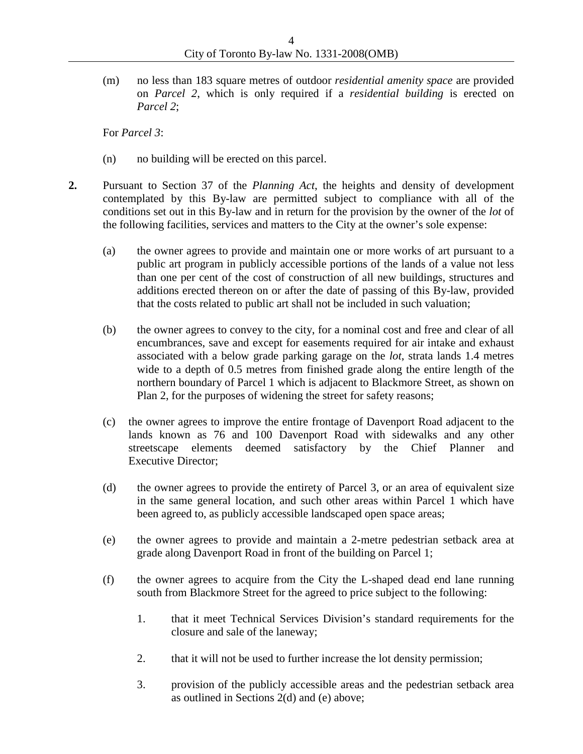(m) no less than 183 square metres of outdoor *residential amenity space* are provided on *Parcel 2*, which is only required if a *residential building* is erected on *Parcel 2*;

For *Parcel 3*:

- (n) no building will be erected on this parcel.
- **2.** Pursuant to Section 37 of the *Planning Act*, the heights and density of development contemplated by this By-law are permitted subject to compliance with all of the conditions set out in this By-law and in return for the provision by the owner of the *lot* of the following facilities, services and matters to the City at the owner's sole expense:
	- (a) the owner agrees to provide and maintain one or more works of art pursuant to a public art program in publicly accessible portions of the lands of a value not less than one per cent of the cost of construction of all new buildings, structures and additions erected thereon on or after the date of passing of this By-law, provided that the costs related to public art shall not be included in such valuation;
	- (b) the owner agrees to convey to the city, for a nominal cost and free and clear of all encumbrances, save and except for easements required for air intake and exhaust associated with a below grade parking garage on the *lot*, strata lands 1.4 metres wide to a depth of 0.5 metres from finished grade along the entire length of the northern boundary of Parcel 1 which is adjacent to Blackmore Street, as shown on Plan 2, for the purposes of widening the street for safety reasons;
	- (c) the owner agrees to improve the entire frontage of Davenport Road adjacent to the lands known as 76 and 100 Davenport Road with sidewalks and any other streetscape elements deemed satisfactory by the Chief Planner and Executive Director;
	- (d) the owner agrees to provide the entirety of Parcel 3, or an area of equivalent size in the same general location, and such other areas within Parcel 1 which have been agreed to, as publicly accessible landscaped open space areas;
	- (e) the owner agrees to provide and maintain a 2-metre pedestrian setback area at grade along Davenport Road in front of the building on Parcel 1;
	- (f) the owner agrees to acquire from the City the L-shaped dead end lane running south from Blackmore Street for the agreed to price subject to the following:
		- 1. that it meet Technical Services Division's standard requirements for the closure and sale of the laneway;
		- 2. that it will not be used to further increase the lot density permission;
		- 3. provision of the publicly accessible areas and the pedestrian setback area as outlined in Sections 2(d) and (e) above;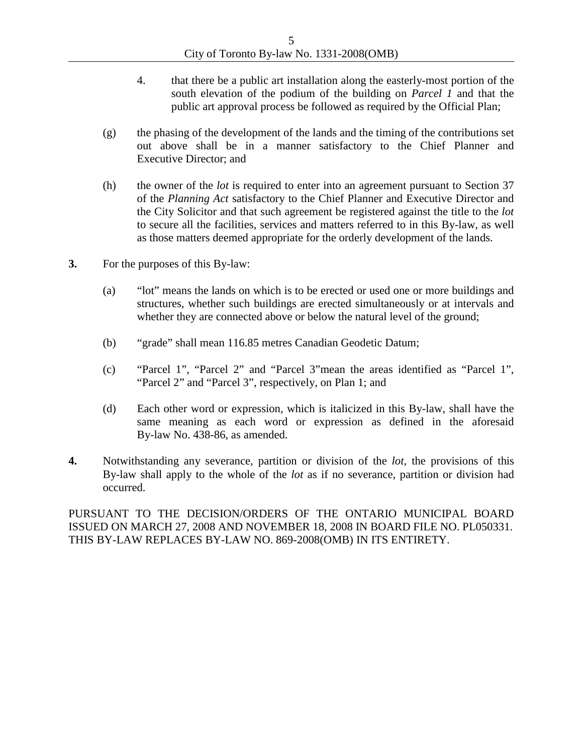- 4. that there be a public art installation along the easterly-most portion of the south elevation of the podium of the building on *Parcel 1* and that the public art approval process be followed as required by the Official Plan;
- (g) the phasing of the development of the lands and the timing of the contributions set out above shall be in a manner satisfactory to the Chief Planner and Executive Director; and
- (h) the owner of the *lot* is required to enter into an agreement pursuant to Section 37 of the *Planning Act* satisfactory to the Chief Planner and Executive Director and the City Solicitor and that such agreement be registered against the title to the *lot* to secure all the facilities, services and matters referred to in this By-law, as well as those matters deemed appropriate for the orderly development of the lands.
- **3.** For the purposes of this By-law:
	- (a) "lot" means the lands on which is to be erected or used one or more buildings and structures, whether such buildings are erected simultaneously or at intervals and whether they are connected above or below the natural level of the ground;
	- (b) "grade" shall mean 116.85 metres Canadian Geodetic Datum;
	- (c) "Parcel 1", "Parcel 2" and "Parcel 3"mean the areas identified as "Parcel 1", "Parcel 2" and "Parcel 3", respectively, on Plan 1; and
	- (d) Each other word or expression, which is italicized in this By-law, shall have the same meaning as each word or expression as defined in the aforesaid By-law No. 438-86, as amended.
- **4.** Notwithstanding any severance, partition or division of the *lot*, the provisions of this By-law shall apply to the whole of the *lot* as if no severance, partition or division had occurred.

PURSUANT TO THE DECISION/ORDERS OF THE ONTARIO MUNICIPAL BOARD ISSUED ON MARCH 27, 2008 AND NOVEMBER 18, 2008 IN BOARD FILE NO. PL050331. THIS BY-LAW REPLACES BY-LAW NO. 869-2008(OMB) IN ITS ENTIRETY.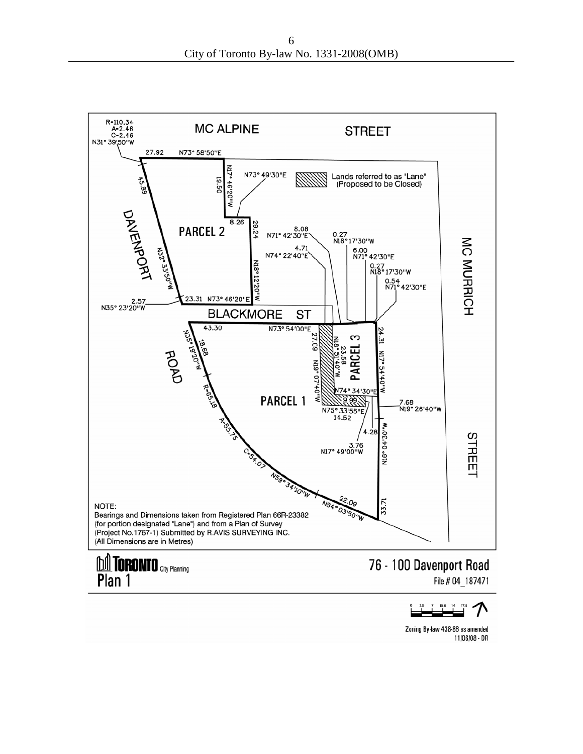

Zoning By-law 438-86 as amended 11/06/08 - DR